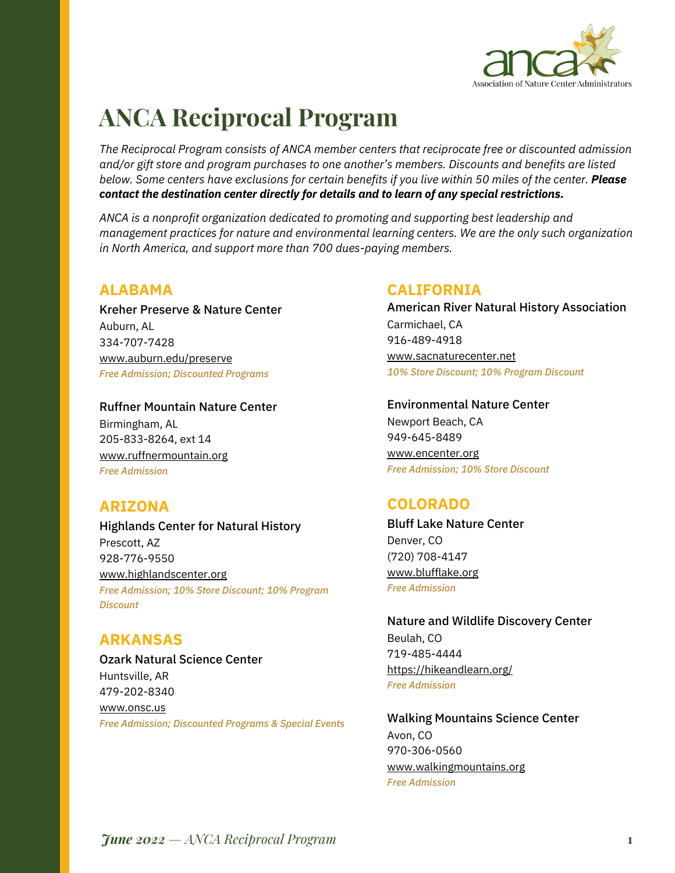

# **ANCA Reciprocal Program**

*The Reciprocal Program consists of ANCA member centers that reciprocate free or discounted admission and/or gift store and program purchases to one another's members. Discounts and benefits are listed below. Some centers have exclusions for certain benefits if you live within 50 miles of the center. Please contact the destination center directly for details and to learn of any special restrictions.*

*ANCA is a nonprofit organization dedicated to promoting and supporting best leadership and management practices for nature and environmental learning centers. We are the only such organization in North America, and support more than 700 dues-paying members.*

## **ALABAMA**

Kreher Preserve & Nature Center Auburn, AL 334-707-7428 www.auburn.edu/preserve *Free Admission; Discounted Programs*

Ruffner Mountain Nature Center Birmingham, AL 205-833-8264, ext 14 www.ruffnermountain.org *Free Admission*

## **ARIZONA**

Highlands Center for Natural History Prescott, AZ 928-776-9550 www.highlandscenter.org *Free Admission; 10% Store Discount; 10% Program Discount*

## **ARKANSAS**

Ozark Natural Science Center Huntsville, AR 479-202-8340 www.onsc.us *Free Admission; Discounted Programs & Special Events*

## **CALIFORNIA**

American River Natural History Association Carmichael, CA 916-489-4918 www.sacnaturecenter.net *10% Store Discount; 10% Program Discount*

Environmental Nature Center Newport Beach, CA 949-645-8489 www.encenter.org *Free Admission; 10% Store Discount*

## **COLORADO**

Bluff Lake Nature Center Denver, CO (720) 708-4147 www.blufflake.org *Free Admission*

Nature and Wildlife Discovery Center Beulah, CO 719-485-4444 https://hikeandlearn.org/ *Free Admission*

Walking Mountains Science Center Avon, CO 970-306-0560 www.walkingmountains.org *Free Admission*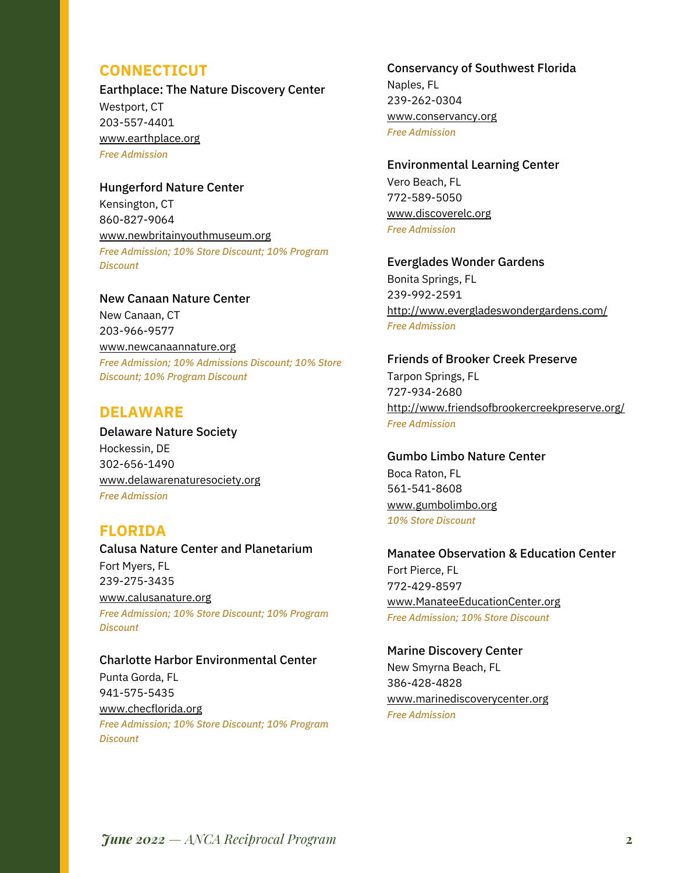## **CONNECTICUT**

Earthplace: The Nature Discovery Center Westport, CT 203-557-4401 www.earthplace.org *Free Admission*

Hungerford Nature Center Kensington, CT 860-827-9064 www.newbritainyouthmuseum.org *Free Admission; 10% Store Discount; 10% Program Discount*

New Canaan Nature Center New Canaan, CT 203-966-9577 www.newcanaannature.org *Free Admission; 10% Admissions Discount; 10% Store Discount; 10% Program Discount*

## **DELAWARE**

Delaware Nature Society Hockessin, DE 302-656-1490 www.delawarenaturesociety.org *Free Admission*

## **FLORIDA**

Calusa Nature Center and Planetarium Fort Myers, FL 239-275-3435 www.calusanature.org *Free Admission; 10% Store Discount; 10% Program Discount*

#### Charlotte Harbor Environmental Center

Punta Gorda, FL 941-575-5435 www.checflorida.org *Free Admission; 10% Store Discount; 10% Program Discount*

#### Conservancy of Southwest Florida

Naples, FL 239-262-0304 www.conservancy.org *Free Admission*

Environmental Learning Center Vero Beach, FL 772-589-5050 www.discoverelc.org *Free Admission*

Everglades Wonder Gardens Bonita Springs, FL 239-992-2591 http://www.evergladeswondergardens.com/ *Free Admission*

Friends of Brooker Creek Preserve Tarpon Springs, FL 727-934-2680 http://www.friendsofbrookercreekpreserve.org/ *Free Admission*

Gumbo Limbo Nature Center Boca Raton, FL 561-541-8608 www.gumbolimbo.org *10% Store Discount*

Manatee Observation & Education Center Fort Pierce, FL 772-429-8597 www.ManateeEducationCenter.org *Free Admission; 10% Store Discount*

Marine Discovery Center New Smyrna Beach, FL 386-428-4828 www.marinediscoverycenter.org *Free Admission*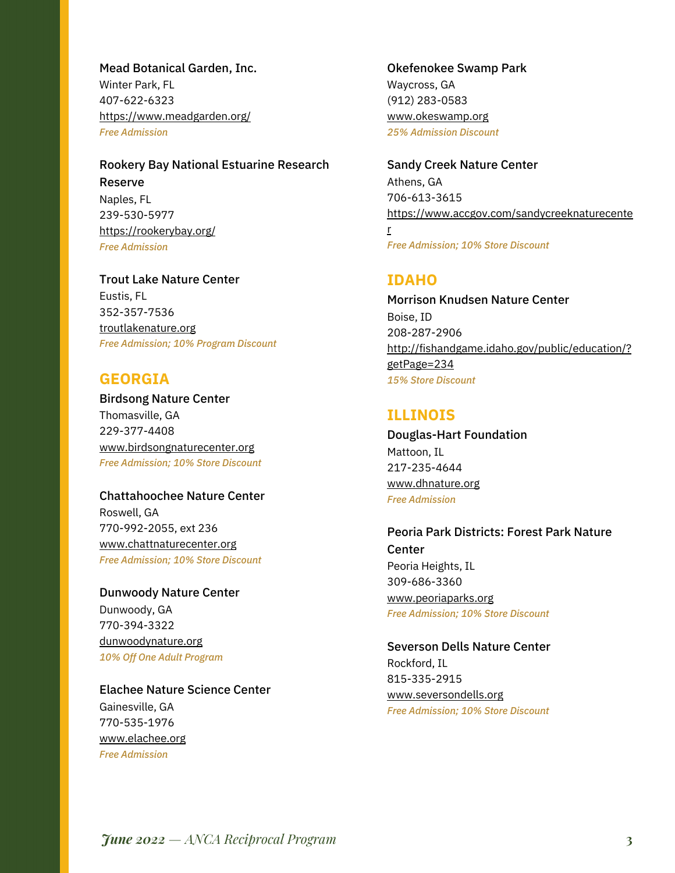Mead Botanical Garden, Inc. Winter Park, FL 407-622-6323 https://www.meadgarden.org/ *Free Admission*

Rookery Bay National Estuarine Research Reserve Naples, FL 239-530-5977 https://rookerybay.org/ *Free Admission*

Trout Lake Nature Center Eustis, FL 352-357-7536 troutlakenature.org *Free Admission; 10% Program Discount*

## **GEORGIA**

Birdsong Nature Center Thomasville, GA 229-377-4408 www.birdsongnaturecenter.org *Free Admission; 10% Store Discount*

Chattahoochee Nature Center Roswell, GA 770-992-2055, ext 236 www.chattnaturecenter.org *Free Admission; 10% Store Discount*

Dunwoody Nature Center Dunwoody, GA 770-394-3322 dunwoodynature.org *10% Off One Adult Program*

Elachee Nature Science Center Gainesville, GA 770-535-1976 www.elachee.org *Free Admission*

## Okefenokee Swamp Park

Waycross, GA (912) 283-0583 www.okeswamp.org *25% Admission Discount*

Sandy Creek Nature Center Athens, GA 706-613-3615 https://www.accgov.com/sandycreeknaturecente

*Free Admission; 10% Store Discount*

## **IDAHO**

r

Morrison Knudsen Nature Center Boise, ID 208-287-2906 http://fishandgame.idaho.gov/public/education/? getPage=234 *15% Store Discount*

## **ILLINOIS**

Douglas-Hart Foundation Mattoon, IL 217-235-4644 www.dhnature.org *Free Admission*

Peoria Park Districts: Forest Park Nature Center Peoria Heights, IL 309-686-3360 www.peoriaparks.org *Free Admission; 10% Store Discount*

Severson Dells Nature Center Rockford, IL 815-335-2915 www.seversondells.org *Free Admission; 10% Store Discount*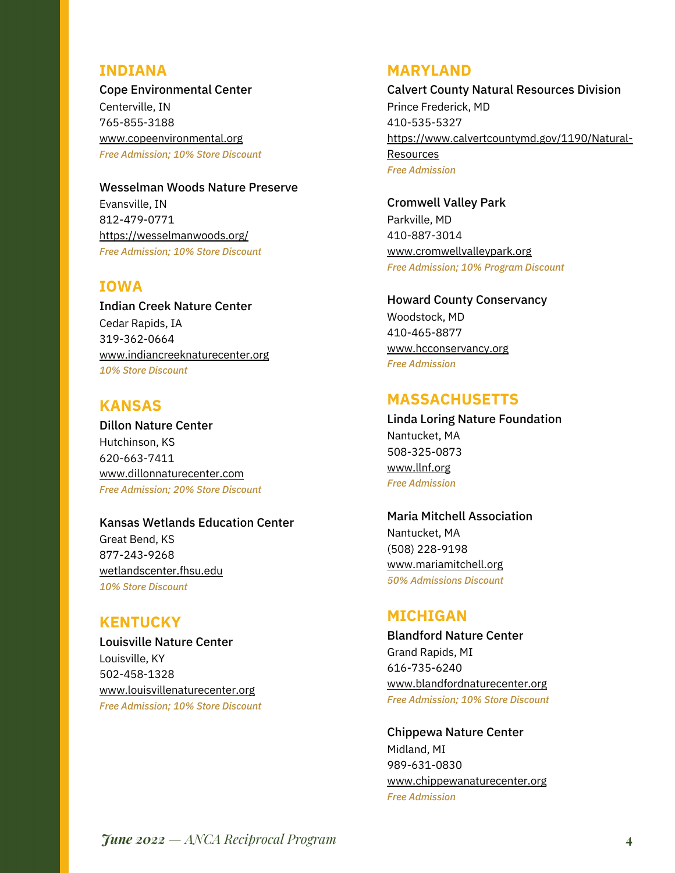## **INDIANA**

Cope Environmental Center Centerville, IN 765-855-3188 www.copeenvironmental.org *Free Admission; 10% Store Discount*

Wesselman Woods Nature Preserve Evansville, IN 812-479-0771 https://wesselmanwoods.org/ *Free Admission; 10% Store Discount*

## **IOWA**

Indian Creek Nature Center Cedar Rapids, IA 319-362-0664 www.indiancreeknaturecenter.org *10% Store Discount*

## **KANSAS**

Dillon Nature Center Hutchinson, KS 620-663-7411 www.dillonnaturecenter.com *Free Admission; 20% Store Discount*

#### Kansas Wetlands Education Center

Great Bend, KS 877-243-9268 wetlandscenter.fhsu.edu *10% Store Discount*

## **KENTUCKY**

Louisville Nature Center Louisville, KY 502-458-1328 www.louisvillenaturecenter.org *Free Admission; 10% Store Discount*

#### **MARYLAND**

Calvert County Natural Resources Division Prince Frederick, MD 410-535-5327 https://www.calvertcountymd.gov/1190/Natural-Resources *Free Admission*

Cromwell Valley Park Parkville, MD 410-887-3014 www.cromwellvalleypark.org *Free Admission; 10% Program Discount*

#### Howard County Conservancy

Woodstock, MD 410-465-8877 www.hcconservancy.org *Free Admission*

### **MASSACHUSETTS**

Linda Loring Nature Foundation Nantucket, MA 508-325-0873 www.llnf.org *Free Admission*

Maria Mitchell Association Nantucket, MA (508) 228-9198 www.mariamitchell.org *50% Admissions Discount*

## **MICHIGAN**

Blandford Nature Center Grand Rapids, MI 616-735-6240 www.blandfordnaturecenter.org *Free Admission; 10% Store Discount*

Chippewa Nature Center Midland, MI 989-631-0830 www.chippewanaturecenter.org *Free Admission*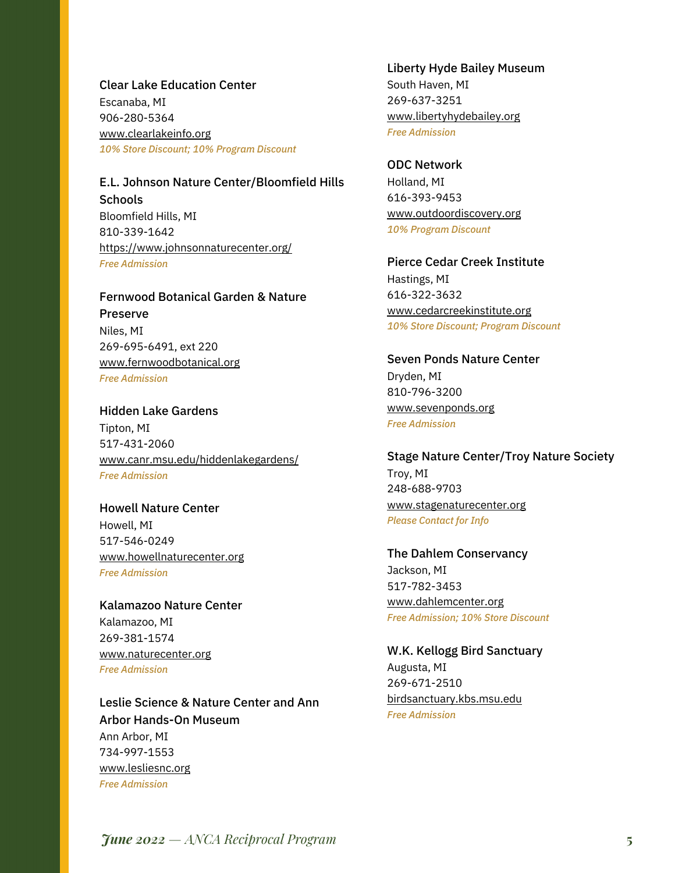Clear Lake Education Center Escanaba, MI 906-280-5364 www.clearlakeinfo.org *10% Store Discount; 10% Program Discount*

E.L. Johnson Nature Center/Bloomfield Hills **Schools** Bloomfield Hills, MI 810-339-1642 https://www.johnsonnaturecenter.org/ *Free Admission*

Fernwood Botanical Garden & Nature Preserve Niles, MI 269-695-6491, ext 220 www.fernwoodbotanical.org *Free Admission*

Hidden Lake Gardens Tipton, MI 517-431-2060 www.canr.msu.edu/hiddenlakegardens/ *Free Admission*

Howell Nature Center Howell, MI 517-546-0249 www.howellnaturecenter.org *Free Admission*

Kalamazoo Nature Center Kalamazoo, MI 269-381-1574 www.naturecenter.org *Free Admission*

Leslie Science & Nature Center and Ann Arbor Hands-On Museum Ann Arbor, MI 734-997-1553 www.lesliesnc.org *Free Admission*

Liberty Hyde Bailey Museum South Haven, MI 269-637-3251 www.libertyhydebailey.org *Free Admission*

ODC Network Holland, MI 616-393-9453 www.outdoordiscovery.org *10% Program Discount*

Pierce Cedar Creek Institute Hastings, MI 616-322-3632 www.cedarcreekinstitute.org *10% Store Discount; Program Discount*

Seven Ponds Nature Center Dryden, MI 810-796-3200 www.sevenponds.org *Free Admission*

Stage Nature Center/Troy Nature Society Troy, MI 248-688-9703 www.stagenaturecenter.org *Please Contact for Info*

The Dahlem Conservancy Jackson, MI 517-782-3453 www.dahlemcenter.org *Free Admission; 10% Store Discount*

W.K. Kellogg Bird Sanctuary Augusta, MI 269-671-2510 birdsanctuary.kbs.msu.edu *Free Admission*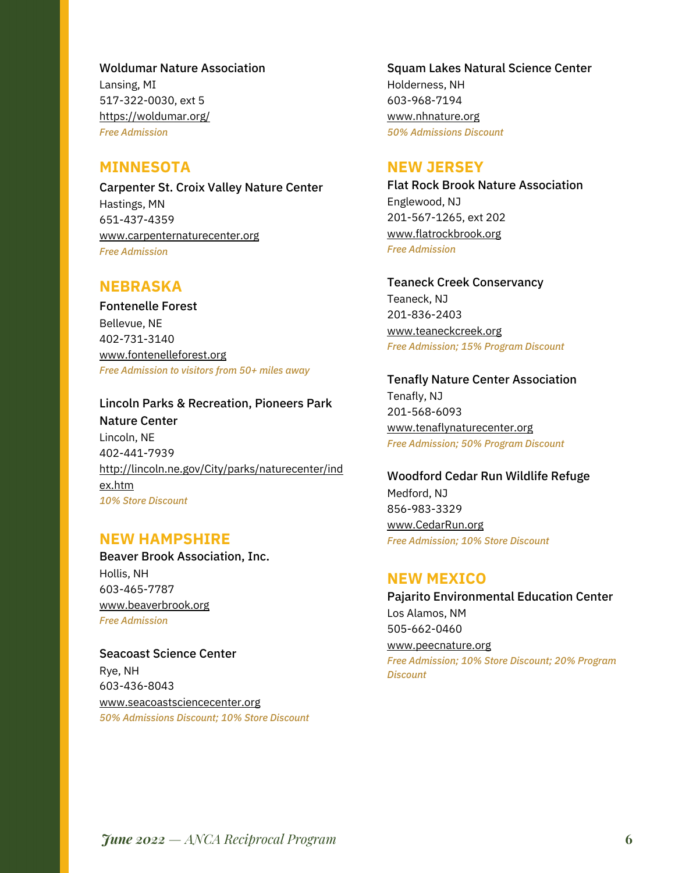Woldumar Nature Association Lansing, MI 517-322-0030, ext 5 https://woldumar.org/ *Free Admission*

## **MINNESOTA**

Carpenter St. Croix Valley Nature Center Hastings, MN 651-437-4359 www.carpenternaturecenter.org *Free Admission*

## **NEBRASKA**

Fontenelle Forest Bellevue, NE 402-731-3140 www.fontenelleforest.org *Free Admission to visitors from 50+ miles away*

#### Lincoln Parks & Recreation, Pioneers Park

Nature Center Lincoln, NE 402-441-7939 http://lincoln.ne.gov/City/parks/naturecenter/ind ex.htm *10% Store Discount*

## **NEW HAMPSHIRE**

Beaver Brook Association, Inc. Hollis, NH 603-465-7787 www.beaverbrook.org *Free Admission*

Seacoast Science Center Rye, NH 603-436-8043 www.seacoastsciencecenter.org *50% Admissions Discount; 10% Store Discount*

## Squam Lakes Natural Science Center Holderness, NH 603-968-7194 www.nhnature.org *50% Admissions Discount*

## **NEW JERSEY**

Flat Rock Brook Nature Association Englewood, NJ 201-567-1265, ext 202 www.flatrockbrook.org *Free Admission*

#### Teaneck Creek Conservancy

Teaneck, NJ 201-836-2403 www.teaneckcreek.org *Free Admission; 15% Program Discount*

## Tenafly Nature Center Association

Tenafly, NJ 201-568-6093 www.tenaflynaturecenter.org *Free Admission; 50% Program Discount*

## Woodford Cedar Run Wildlife Refuge

Medford, NJ 856-983-3329 www.CedarRun.org *Free Admission; 10% Store Discount*

## **NEW MEXICO**

Pajarito Environmental Education Center Los Alamos, NM 505-662-0460 www.peecnature.org *Free Admission; 10% Store Discount; 20% Program Discount*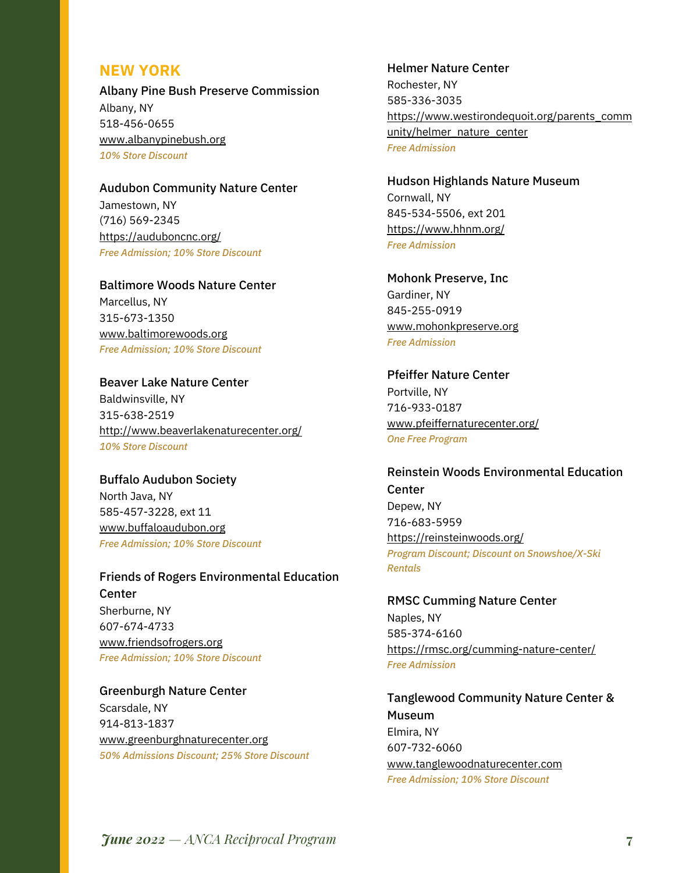## **NEW YORK**

Albany Pine Bush Preserve Commission Albany, NY 518-456-0655 www.albanypinebush.org *10% Store Discount*

Audubon Community Nature Center Jamestown, NY

(716) 569-2345 https://auduboncnc.org/ *Free Admission; 10% Store Discount*

Baltimore Woods Nature Center Marcellus, NY 315-673-1350 www.baltimorewoods.org *Free Admission; 10% Store Discount*

Beaver Lake Nature Center Baldwinsville, NY 315-638-2519 http://www.beaverlakenaturecenter.org/ *10% Store Discount*

Buffalo Audubon Society North Java, NY 585-457-3228, ext 11 www.buffaloaudubon.org *Free Admission; 10% Store Discount*

Friends of Rogers Environmental Education Center Sherburne, NY 607-674-4733 www.friendsofrogers.org *Free Admission; 10% Store Discount*

Greenburgh Nature Center Scarsdale, NY 914-813-1837 www.greenburghnaturecenter.org *50% Admissions Discount; 25% Store Discount*

#### Helmer Nature Center

Rochester, NY 585-336-3035 https://www.westirondequoit.org/parents\_comm unity/helmer\_nature\_center *Free Admission*

Hudson Highlands Nature Museum Cornwall, NY 845-534-5506, ext 201 https://www.hhnm.org/ *Free Admission*

Mohonk Preserve, Inc Gardiner, NY 845-255-0919 www.mohonkpreserve.org *Free Admission*

Pfeiffer Nature Center Portville, NY 716-933-0187 www.pfeiffernaturecenter.org/ *One Free Program*

Reinstein Woods Environmental Education **Center** Depew, NY 716-683-5959 https://reinsteinwoods.org/

*Program Discount; Discount on Snowshoe/X-Ski Rentals*

RMSC Cumming Nature Center Naples, NY 585-374-6160 https://rmsc.org/cumming-nature-center/ *Free Admission*

Tanglewood Community Nature Center & Museum Elmira, NY 607-732-6060 www.tanglewoodnaturecenter.com *Free Admission; 10% Store Discount*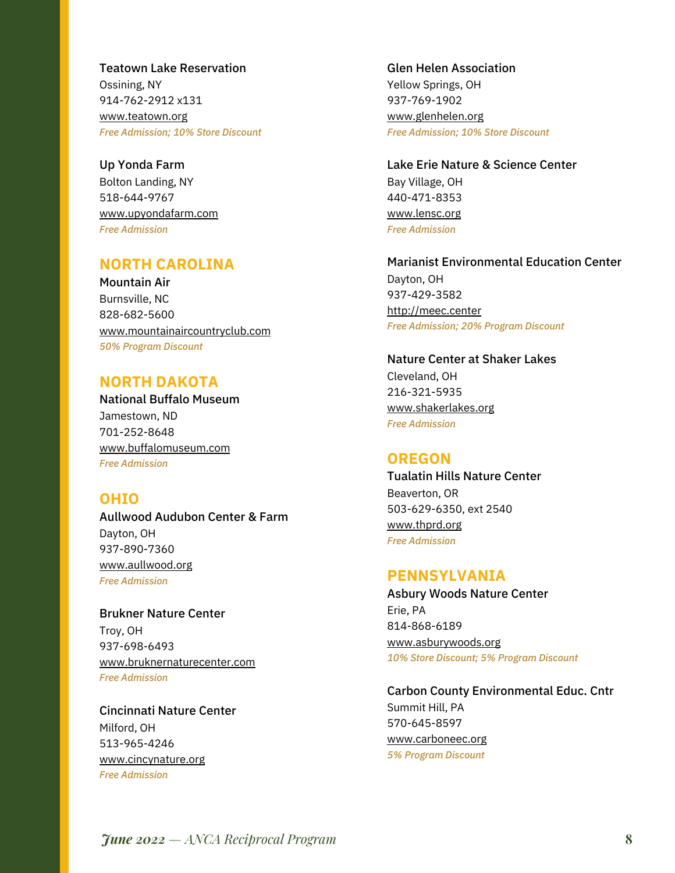Teatown Lake Reservation Ossining, NY 914-762-2912 x131

www.teatown.org *Free Admission; 10% Store Discount*

Up Yonda Farm Bolton Landing, NY 518-644-9767 www.upyondafarm.com *Free Admission*

## **NORTH CAROLINA**

Mountain Air Burnsville, NC 828-682-5600 www.mountainaircountryclub.com *50% Program Discount*

## **NORTH DAKOTA**

National Buffalo Museum Jamestown, ND 701-252-8648 www.buffalomuseum.com *Free Admission*

## **OHIO**

Aullwood Audubon Center & Farm Dayton, OH 937-890-7360 www.aullwood.org *Free Admission*

Brukner Nature Center Troy, OH 937-698-6493 www.bruknernaturecenter.com *Free Admission*

Cincinnati Nature Center Milford, OH 513-965-4246 www.cincynature.org *Free Admission*

Glen Helen Association Yellow Springs, OH 937-769-1902 www.glenhelen.org

*Free Admission; 10% Store Discount*

Lake Erie Nature & Science Center Bay Village, OH 440-471-8353 www.lensc.org *Free Admission*

Marianist Environmental Education Center Dayton, OH 937-429-3582 http://meec.center *Free Admission; 20% Program Discount*

Nature Center at Shaker Lakes Cleveland, OH 216-321-5935 www.shakerlakes.org *Free Admission*

## **OREGON**

Tualatin Hills Nature Center Beaverton, OR 503-629-6350, ext 2540 www.thprd.org *Free Admission*

## **PENNSYLVANIA**

Asbury Woods Nature Center Erie, PA 814-868-6189 www.asburywoods.org *10% Store Discount; 5% Program Discount*

Carbon County Environmental Educ. Cntr Summit Hill, PA 570-645-8597 www.carboneec.org *5% Program Discount*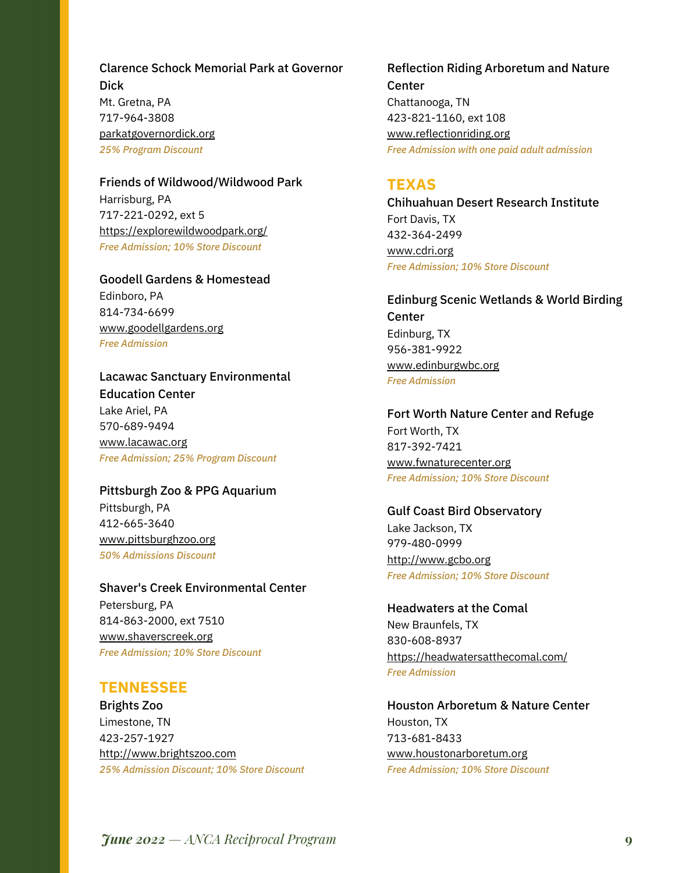Clarence Schock Memorial Park at Governor Dick Mt. Gretna, PA 717-964-3808 parkatgovernordick.org *25% Program Discount*

Friends of Wildwood/Wildwood Park Harrisburg, PA 717-221-0292, ext 5 https://explorewildwoodpark.org/ *Free Admission; 10% Store Discount*

Goodell Gardens & Homestead Edinboro, PA 814-734-6699 www.goodellgardens.org *Free Admission*

Lacawac Sanctuary Environmental Education Center Lake Ariel, PA 570-689-9494 www.lacawac.org *Free Admission; 25% Program Discount*

Pittsburgh Zoo & PPG Aquarium Pittsburgh, PA 412-665-3640 www.pittsburghzoo.org *50% Admissions Discount*

Shaver's Creek Environmental Center Petersburg, PA 814-863-2000, ext 7510 www.shaverscreek.org *Free Admission; 10% Store Discount*

## **TENNESSEE**

Brights Zoo Limestone, TN 423-257-1927 http://www.brightszoo.com *25% Admission Discount; 10% Store Discount* Reflection Riding Arboretum and Nature Center Chattanooga, TN 423-821-1160, ext 108 www.reflectionriding.org *Free Admission with one paid adult admission*

## **TEXAS**

Chihuahuan Desert Research Institute Fort Davis, TX 432-364-2499 www.cdri.org *Free Admission; 10% Store Discount*

Edinburg Scenic Wetlands & World Birding Center Edinburg, TX 956-381-9922 www.edinburgwbc.org *Free Admission*

Fort Worth Nature Center and Refuge Fort Worth, TX 817-392-7421 www.fwnaturecenter.org *Free Admission; 10% Store Discount*

Gulf Coast Bird Observatory Lake Jackson, TX 979-480-0999 http://www.gcbo.org *Free Admission; 10% Store Discount*

Headwaters at the Comal New Braunfels, TX 830-608-8937 https://headwatersatthecomal.com/ *Free Admission*

Houston Arboretum & Nature Center Houston, TX 713-681-8433 www.houstonarboretum.org *Free Admission; 10% Store Discount*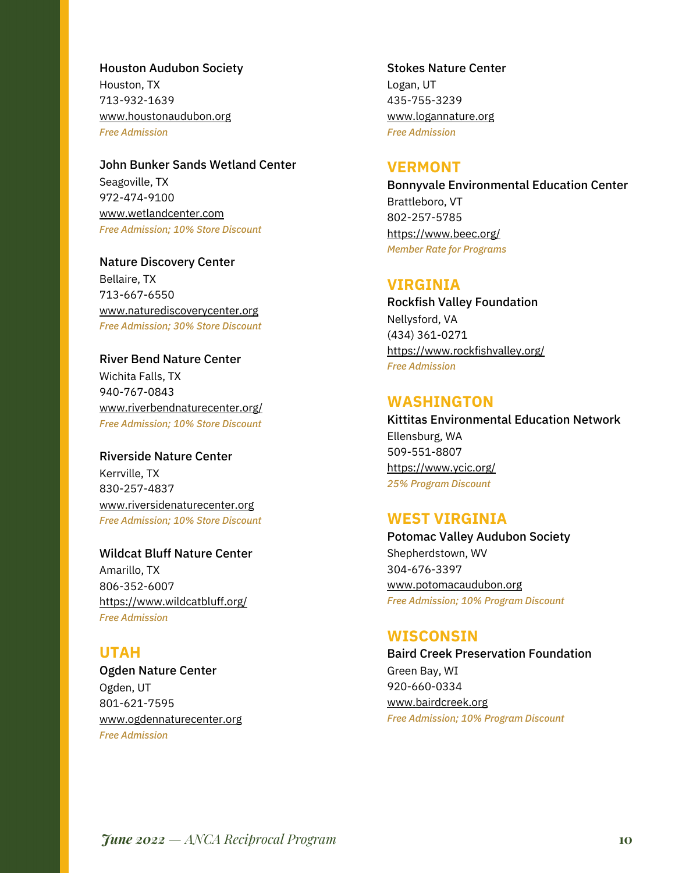Houston Audubon Society Houston, TX 713-932-1639 www.houstonaudubon.org *Free Admission*

John Bunker Sands Wetland Center Seagoville, TX 972-474-9100 www.wetlandcenter.com *Free Admission; 10% Store Discount*

Nature Discovery Center Bellaire, TX 713-667-6550 www.naturediscoverycenter.org *Free Admission; 30% Store Discount*

River Bend Nature Center Wichita Falls, TX 940-767-0843 www.riverbendnaturecenter.org/ *Free Admission; 10% Store Discount*

Riverside Nature Center Kerrville, TX 830-257-4837 www.riversidenaturecenter.org *Free Admission; 10% Store Discount*

Wildcat Bluff Nature Center Amarillo, TX 806-352-6007 https://www.wildcatbluff.org/ *Free Admission*

## **UTAH** Ogden Nature Center Ogden, UT 801-621-7595 www.ogdennaturecenter.org *Free Admission*

## Stokes Nature Center

Logan, UT 435-755-3239 www.logannature.org *Free Admission*

## **VERMONT**

Bonnyvale Environmental Education Center Brattleboro, VT 802-257-5785 https://www.beec.org/ *Member Rate for Programs*

## **VIRGINIA**

Rockfish Valley Foundation Nellysford, VA (434) 361-0271 https://www.rockfishvalley.org/ *Free Admission*

## **WASHINGTON**

Kittitas Environmental Education Network Ellensburg, WA 509-551-8807 https://www.ycic.org/ *25% Program Discount*

## **WEST VIRGINIA**

Potomac Valley Audubon Society Shepherdstown, WV 304-676-3397 www.potomacaudubon.org *Free Admission; 10% Program Discount*

## **WISCONSIN**

Baird Creek Preservation Foundation Green Bay, WI 920-660-0334 www.bairdcreek.org *Free Admission; 10% Program Discount*